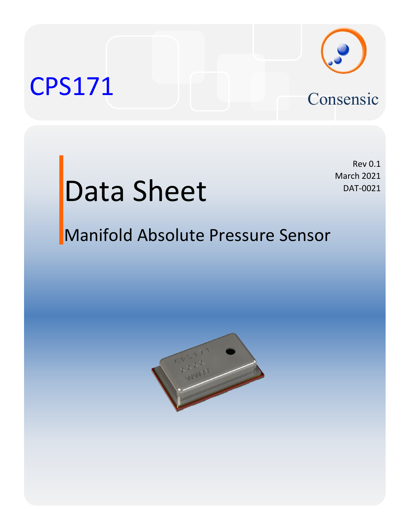### CPS171 Consensic



## Data Sheet

Rev 0.1 March 2021 DAT-0021

### Manifold Absolute Pressure Sensor

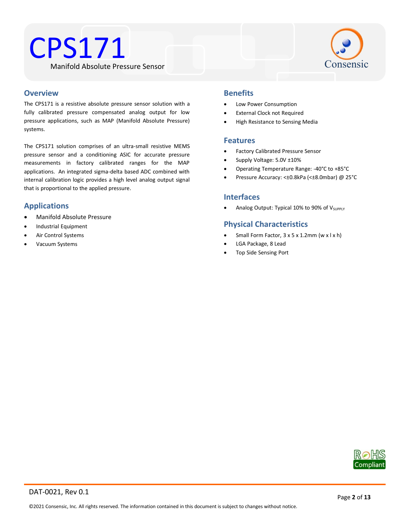



#### **Overview**

The CPS171 is a resistive absolute pressure sensor solution with a fully calibrated pressure compensated analog output for low pressure applications, such as MAP (Manifold Absolute Pressure) systems.

The CPS171 solution comprises of an ultra-small resistive MEMS pressure sensor and a conditioning ASIC for accurate pressure measurements in factory calibrated ranges for the MAP applications. An integrated sigma-delta based ADC combined with internal calibration logic provides a high level analog output signal that is proportional to the applied pressure.

#### **Applications**

- Manifold Absolute Pressure
- Industrial Equipment
- Air Control Systems
- Vacuum Systems

#### **Benefits**

- Low Power Consumption
- External Clock not Required
- High Resistance to Sensing Media

#### **Features**

- Factory Calibrated Pressure Sensor
- Supply Voltage: 5.0V ±10%
- Operating Temperature Range: -40°C to +85°C
- Pressure Accuracy: <±0.8kPa (<±8.0mbar) @ 25°C

#### **Interfaces**

• Analog Output: Typical 10% to 90% of V<sub>SUPPLY</sub>

#### **Physical Characteristics**

- Small Form Factor, 3 x 5 x 1.2mm (w x l x h)
- LGA Package, 8 Lead
- Top Side Sensing Port

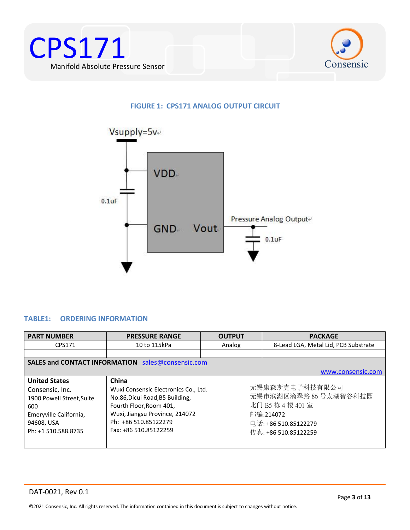



#### <span id="page-2-1"></span>**FIGURE 1: CPS171 ANALOG OUTPUT CIRCUIT**



#### <span id="page-2-0"></span>**TABLE1: ORDERING INFORMATION**

| <b>PART NUMBER</b>                                                                                                                         | <b>PRESSURE RANGE</b>                                                                                                                                                                          | <b>OUTPUT</b> | <b>PACKAGE</b>                                                                                                           |
|--------------------------------------------------------------------------------------------------------------------------------------------|------------------------------------------------------------------------------------------------------------------------------------------------------------------------------------------------|---------------|--------------------------------------------------------------------------------------------------------------------------|
| CPS171                                                                                                                                     | 10 to 115kPa                                                                                                                                                                                   | Analog        | 8-Lead LGA, Metal Lid, PCB Substrate                                                                                     |
|                                                                                                                                            |                                                                                                                                                                                                |               |                                                                                                                          |
|                                                                                                                                            | <b>SALES and CONTACT INFORMATION</b> sales@consensic.com                                                                                                                                       |               |                                                                                                                          |
|                                                                                                                                            |                                                                                                                                                                                                |               | www.consensic.com                                                                                                        |
| <b>United States</b><br>Consensic, Inc.<br>1900 Powell Street, Suite<br>600<br>Emeryville California,<br>94608, USA<br>Ph: +1 510.588.8735 | China<br>Wuxi Consensic Electronics Co., Ltd.<br>No.86, Dicui Road, B5 Building,<br>Fourth Floor, Room 401,<br>Wuxi, Jiangsu Province, 214072<br>Ph: +86 510.85122279<br>Fax: +86 510.85122259 |               | 无锡康森斯克电子科技有限公司<br>无锡市滨湖区滴翠路 86号太湖智谷科技园<br>北门 B5 栋 4 楼 401 室<br>邮编:214072<br>电话: +86 510.85122279<br>传真: +86 510.85122259 |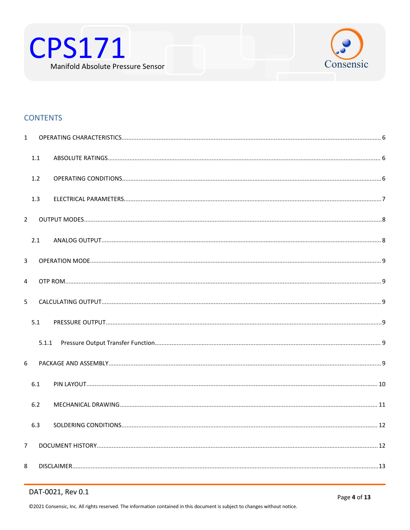



#### **CONTENTS**

| $\mathbf{1}$   |       |  |
|----------------|-------|--|
|                | 1.1   |  |
|                | 1.2   |  |
|                | 1.3   |  |
| $\overline{2}$ |       |  |
|                | 2.1   |  |
| 3              |       |  |
| 4              |       |  |
| 5              |       |  |
|                | 5.1   |  |
|                | 5.1.1 |  |
| 6              |       |  |
|                | 6.1   |  |
|                | 6.2   |  |
|                | 6.3   |  |
| $\overline{7}$ |       |  |
| 8              |       |  |

#### DAT-0021, Rev 0.1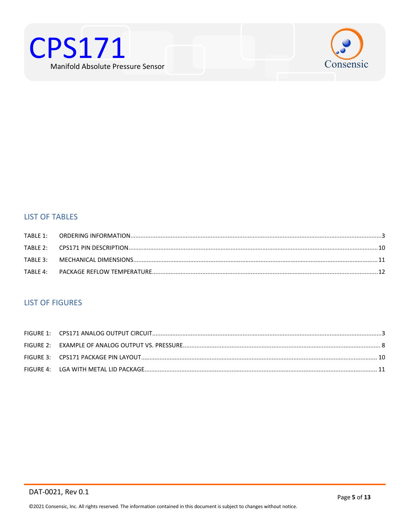



#### **LIST OF TABLES**

| TABLE $4:$ |  |
|------------|--|

#### **LIST OF FIGURES**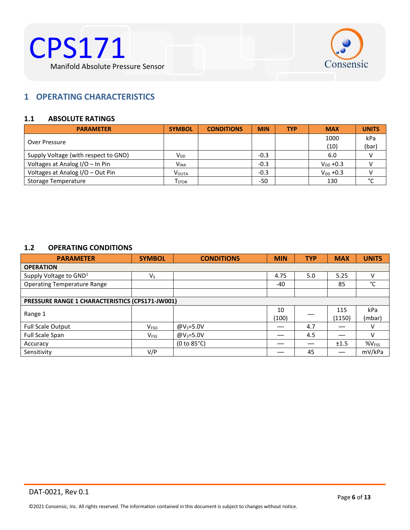



#### <span id="page-5-0"></span>**1 OPERATING CHARACTERISTICS**

#### <span id="page-5-1"></span>**1.1 ABSOLUTE RATINGS**

| <b>PARAMETER</b>                     | <b>SYMBOL</b>     | <b>CONDITIONS</b> | <b>MIN</b> | <b>TYP</b> | <b>MAX</b>    | <b>UNITS</b>  |
|--------------------------------------|-------------------|-------------------|------------|------------|---------------|---------------|
| Over Pressure                        |                   |                   |            |            | 1000          | kPa           |
|                                      |                   |                   |            |            | (10)          | (bar)         |
| Supply Voltage (with respect to GND) | V <sub>DD</sub>   |                   | $-0.3$     |            | 6.0           | $\mathcal{U}$ |
| Voltages at Analog I/O - In Pin      | <b>VINA</b>       |                   | $-0.3$     |            | $V_{DD}$ +0.3 |               |
| Voltages at Analog I/O - Out Pin     | <b>VOUTA</b>      |                   | $-0.3$     |            | $V_{DD}$ +0.3 |               |
| Storage Temperature                  | T <sub>STOR</sub> |                   | $-50$      |            | 130           | $\sim$        |

#### <span id="page-5-2"></span>**1.2 OPERATING CONDITIONS**

| <b>PARAMETER</b>                                | <b>SYMBOL</b>           | <b>CONDITIONS</b> | <b>MIN</b> | <b>TYP</b> | <b>MAX</b> | <b>UNITS</b>      |
|-------------------------------------------------|-------------------------|-------------------|------------|------------|------------|-------------------|
| <b>OPERATION</b>                                |                         |                   |            |            |            |                   |
| Supply Voltage to GND <sup>1</sup>              | $V_{S}$                 |                   | 4.75       | 5.0        | 5.25       |                   |
| <b>Operating Temperature Range</b>              |                         |                   | $-40$      |            | 85         | °C                |
|                                                 |                         |                   |            |            |            |                   |
| PRESSURE RANGE 1 CHARACTERISTICS (CPS171-JW001) |                         |                   |            |            |            |                   |
| Range 1                                         |                         |                   | 10         |            | 115        | kPa               |
|                                                 |                         |                   | (100)      |            | (1150)     | (mbar)            |
| Full Scale Output                               | <b>V</b> <sub>FSO</sub> | @ $V_s = 5.0V$    |            | 4.7        |            |                   |
| Full Scale Span                                 | V <sub>FSS</sub>        | @ $V_s = 5.0V$    |            | 4.5        |            |                   |
| Accuracy                                        |                         | (0 to 85°C)       |            |            | ±1.5       | %V <sub>FSS</sub> |
| Sensitivity                                     | V/P                     |                   |            | 45         |            | mV/kPa            |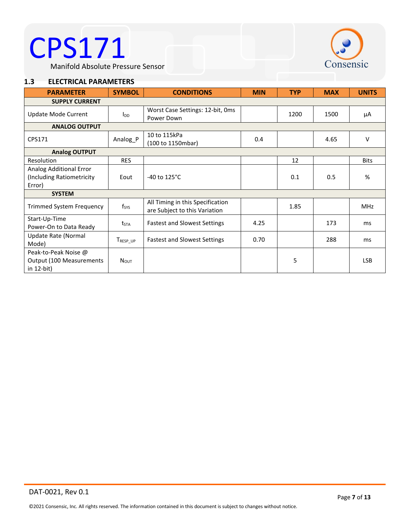# CPS171 (S)



<span id="page-6-0"></span>Manifold Absolute Pressure Sensor

#### **1.3 ELECTRICAL PARAMETERS**

| <b>PARAMETER</b>                                               | <b>SYMBOL</b>    | <b>CONDITIONS</b>                                                 | <b>MIN</b> | <b>TYP</b> | <b>MAX</b> | <b>UNITS</b> |
|----------------------------------------------------------------|------------------|-------------------------------------------------------------------|------------|------------|------------|--------------|
| <b>SUPPLY CURRENT</b>                                          |                  |                                                                   |            |            |            |              |
| Update Mode Current                                            | l <sub>DD</sub>  | Worst Case Settings: 12-bit, Oms<br>Power Down                    |            | 1200       | 1500       | μA           |
| <b>ANALOG OUTPUT</b>                                           |                  |                                                                   |            |            |            |              |
| CPS171                                                         | Analog_P         | 10 to 115kPa<br>(100 to 1150mbar)                                 | 0.4        |            | 4.65       | v            |
| <b>Analog OUTPUT</b>                                           |                  |                                                                   |            |            |            |              |
| Resolution                                                     | <b>RES</b>       |                                                                   |            | 12         |            | <b>Bits</b>  |
| Analog Additional Error<br>(Including Ratiometricity<br>Error) | Eout             | -40 to $125^{\circ}$ C                                            |            | 0.1        | 0.5        | %            |
| <b>SYSTEM</b>                                                  |                  |                                                                   |            |            |            |              |
| <b>Trimmed System Frequency</b>                                | $f_{\text{SYS}}$ | All Timing in this Specification<br>are Subject to this Variation |            | 1.85       |            | <b>MHz</b>   |
| Start-Up-Time<br>Power-On to Data Ready                        | $t_{\text{STA}}$ | <b>Fastest and Slowest Settings</b>                               | 4.25       |            | 173        | ms           |
| Update Rate (Normal<br>Mode)                                   | TRESP_UP         | <b>Fastest and Slowest Settings</b>                               | 0.70       |            | 288        | ms           |
| Peak-to-Peak Noise @<br>Output (100 Measurements<br>in 12-bit) | NOUT             |                                                                   |            | 5          |            | <b>LSB</b>   |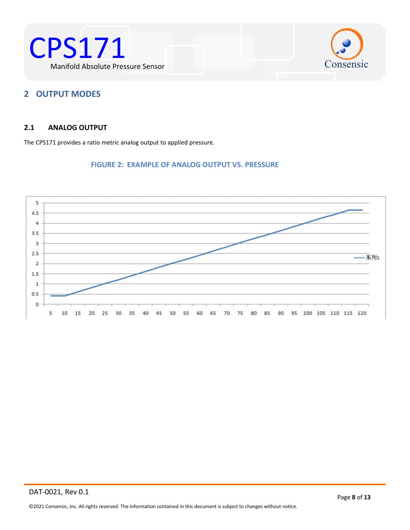



#### <span id="page-7-0"></span>**2 OUTPUT MODES**

#### <span id="page-7-1"></span>**2.1 ANALOG OUTPUT**

The CPS171 provides a ratio metric analog output to applied pressure.

#### **FIGURE 2: EXAMPLE OF ANALOG OUTPUT VS. PRESSURE**

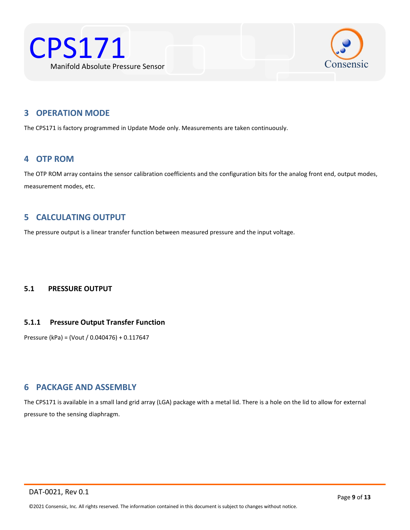



#### <span id="page-8-0"></span>**3 OPERATION MODE**

The CPS171 is factory programmed in Update Mode only. Measurements are taken continuously.

#### <span id="page-8-1"></span>**4 OTP ROM**

The OTP ROM array contains the sensor calibration coefficients and the configuration bits for the analog front end, output modes, measurement modes, etc.

#### <span id="page-8-2"></span>**5 CALCULATING OUTPUT**

The pressure output is a linear transfer function between measured pressure and the input voltage.

#### <span id="page-8-3"></span>**5.1 PRESSURE OUTPUT**

#### <span id="page-8-4"></span>**5.1.1 Pressure Output Transfer Function**

Pressure (kPa) = (Vout / 0.040476) + 0.117647

#### <span id="page-8-5"></span>**6 PACKAGE AND ASSEMBLY**

The CPS171 is available in a small land grid array (LGA) package with a metal lid. There is a hole on the lid to allow for external pressure to the sensing diaphragm.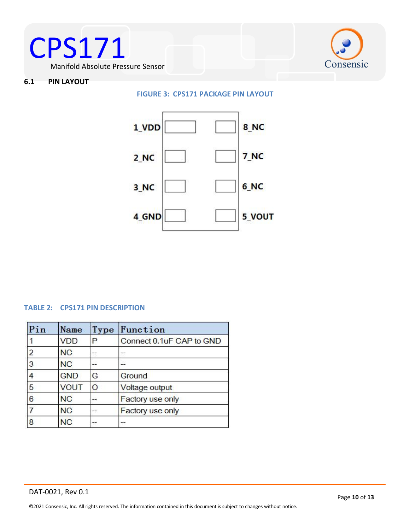



#### <span id="page-9-0"></span>**6.1 PIN LAYOUT**

<span id="page-9-2"></span>**FIGURE 3: CPS171 PACKAGE PIN LAYOUT**



#### <span id="page-9-1"></span>**TABLE 2: CPS171 PIN DESCRIPTION**

| Pin            | Name       | Type | Function                 |
|----------------|------------|------|--------------------------|
|                | <b>VDD</b> | P    | Connect 0.1uF CAP to GND |
| $\overline{c}$ | <b>NC</b>  |      |                          |
| 3              | <b>NC</b>  |      |                          |
| 4              | <b>GND</b> | G    | Ground                   |
| 5              | VOUT       | O    | Voltage output           |
| $\overline{6}$ | <b>NC</b>  |      | Factory use only         |
|                | <b>NC</b>  |      | Factory use only         |
| 8              | <b>NC</b>  | --   |                          |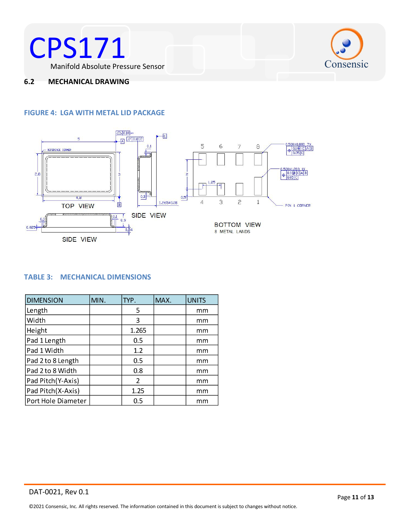



#### <span id="page-10-0"></span>**6.2 MECHANICAL DRAWING**

#### <span id="page-10-2"></span>**FIGURE 4: LGA WITH METAL LID PACKAGE**



#### <span id="page-10-1"></span>**TABLE 3: MECHANICAL DIMENSIONS**

| <b>DIMENSION</b>   | MIN. | TYP.  | MAX. | <b>UNITS</b> |
|--------------------|------|-------|------|--------------|
| Length             |      | 5     |      | mm           |
| Width              |      | 3     |      | mm           |
| Height             |      | 1.265 |      | mm           |
| Pad 1 Length       |      | 0.5   |      | mm           |
| Pad 1 Width        |      | 1.2   |      | mm           |
| Pad 2 to 8 Length  |      | 0.5   |      | mm           |
| Pad 2 to 8 Width   |      | 0.8   |      | mm           |
| Pad Pitch (Y-Axis) |      | 2     |      | mm           |
| Pad Pitch(X-Axis)  |      | 1.25  |      | mm           |
| Port Hole Diameter |      | 0.5   |      | mm           |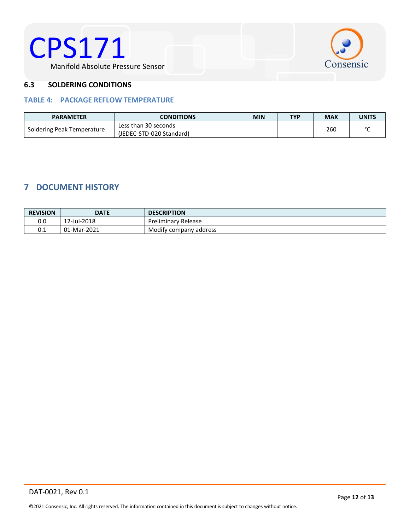



#### <span id="page-11-0"></span>**6.3 SOLDERING CONDITIONS**

#### <span id="page-11-2"></span>**TABLE 4: PACKAGE REFLOW TEMPERATURE**

| <b>PARAMETER</b>           | <b>CONDITIONS</b>        |  | <b>TYP</b> | <b>MAX</b> | UNITS  |
|----------------------------|--------------------------|--|------------|------------|--------|
| Soldering Peak Temperature | Less than 30 seconds     |  |            | 260        | $\sim$ |
|                            | (JEDEC-STD-020 Standard) |  |            |            |        |

### <span id="page-11-1"></span>**7 DOCUMENT HISTORY**

| <b>REVISION</b> | <b>DATE</b> | <b>DESCRIPTION</b>         |
|-----------------|-------------|----------------------------|
| 0.0             | 12-Jul-2018 | <b>Preliminary Release</b> |
| 0.1             | 01-Mar-2021 | Modify company address     |